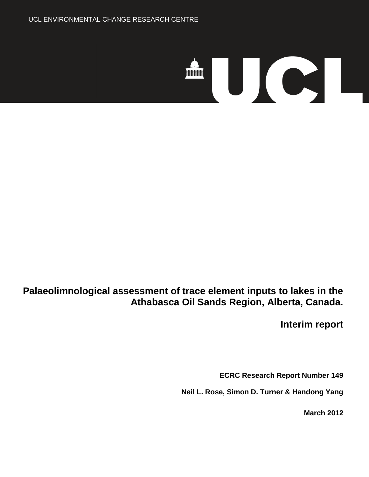# 

**Palaeolimnological assessment of trace element inputs to lakes in the Athabasca Oil Sands Region, Alberta, Canada.** 

**Interim report**

**ECRC Research Report Number 149**

**Neil L. Rose, Simon D. Turner & Handong Yang**

**March 2012**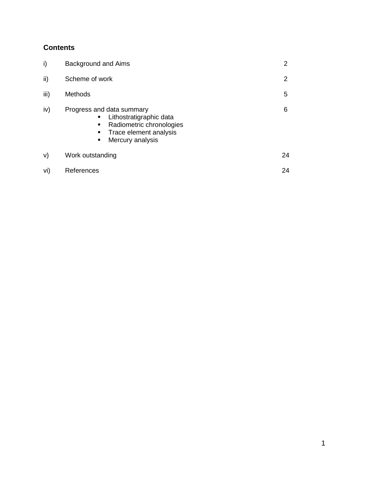# **Contents**

| i)   | Background and Aims                                                                                                                           | $\mathbf{2}^{\prime}$ |
|------|-----------------------------------------------------------------------------------------------------------------------------------------------|-----------------------|
| ii)  | Scheme of work                                                                                                                                | $\overline{2}$        |
| iii) | <b>Methods</b>                                                                                                                                | 5                     |
| iv)  | Progress and data summary<br>Lithostratigraphic data<br>٠<br>Radiometric chronologies<br>٠<br>Trace element analysis<br>Mercury analysis<br>٠ | 6                     |
| V)   | Work outstanding                                                                                                                              | 24                    |
| vi)  | References                                                                                                                                    | 24                    |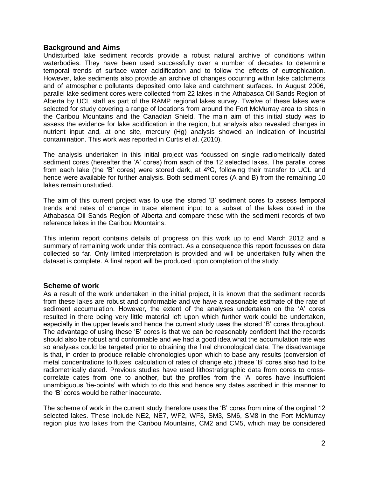#### **Background and Aims**

Undisturbed lake sediment records provide a robust natural archive of conditions within waterbodies. They have been used successfully over a number of decades to determine temporal trends of surface water acidification and to follow the effects of eutrophication. However, lake sediments also provide an archive of changes occurring within lake catchments and of atmospheric pollutants deposited onto lake and catchment surfaces. In August 2006, parallel lake sediment cores were collected from 22 lakes in the Athabasca Oil Sands Region of Alberta by UCL staff as part of the RAMP regional lakes survey. Twelve of these lakes were selected for study covering a range of locations from around the Fort McMurray area to sites in the Caribou Mountains and the Canadian Shield. The main aim of this initial study was to assess the evidence for lake acidification in the region, but analysis also revealed changes in nutrient input and, at one site, mercury (Hg) analysis showed an indication of industrial contamination. This work was reported in Curtis et al. (2010).

The analysis undertaken in this initial project was focussed on single radiometrically dated sediment cores (hereafter the 'A' cores) from each of the 12 selected lakes. The parallel cores from each lake (the 'B' cores) were stored dark, at 4ºC, following their transfer to UCL and hence were available for further analysis. Both sediment cores (A and B) from the remaining 10 lakes remain unstudied.

The aim of this current project was to use the stored 'B' sediment cores to assess temporal trends and rates of change in trace element input to a subset of the lakes cored in the Athabasca Oil Sands Region of Alberta and compare these with the sediment records of two reference lakes in the Caribou Mountains.

This interim report contains details of progress on this work up to end March 2012 and a summary of remaining work under this contract. As a consequence this report focusses on data collected so far. Only limited interpretation is provided and will be undertaken fully when the dataset is complete. A final report will be produced upon completion of the study.

#### **Scheme of work**

As a result of the work undertaken in the initial project, it is known that the sediment records from these lakes are robust and conformable and we have a reasonable estimate of the rate of sediment accumulation. However, the extent of the analyses undertaken on the 'A' cores resulted in there being very little material left upon which further work could be undertaken, especially in the upper levels and hence the current study uses the stored 'B' cores throughout. The advantage of using these 'B' cores is that we can be reasonably confident that the records should also be robust and conformable and we had a good idea what the accumulation rate was so analyses could be targeted prior to obtaining the final chronological data. The disadvantage is that, in order to produce reliable chronologies upon which to base any results (conversion of metal concentrations to fluxes; calculation of rates of change etc.) these 'B' cores also had to be radiometrically dated. Previous studies have used lithostratigraphic data from cores to crosscorrelate dates from one to another, but the profiles from the 'A' cores have insufficient unambiguous 'tie-points' with which to do this and hence any dates ascribed in this manner to the 'B' cores would be rather inaccurate.

The scheme of work in the current study therefore uses the 'B' cores from nine of the orginal 12 selected lakes. These include NE2, NE7, WF2, WF3, SM3, SM6, SM8 in the Fort McMurray region plus two lakes from the Caribou Mountains, CM2 and CM5, which may be considered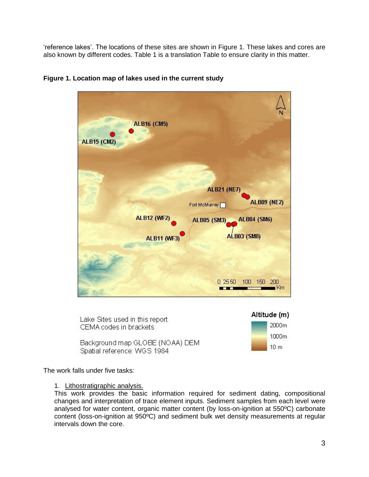'reference lakes'. The locations of these sites are shown in Figure 1. These lakes and cores are also known by different codes. Table 1 is a translation Table to ensure clarity in this matter.



#### **Figure 1. Location map of lakes used in the current study**



The work falls under five tasks:

#### 1. Lithostratigraphic analysis.

This work provides the basic information required for sediment dating, compositional changes and interpretation of trace element inputs. Sediment samples from each level were analysed for water content, organic matter content (by loss-on-ignition at 550ºC) carbonate content (loss-on-ignition at 950ºC) and sediment bulk wet density measurements at regular intervals down the core.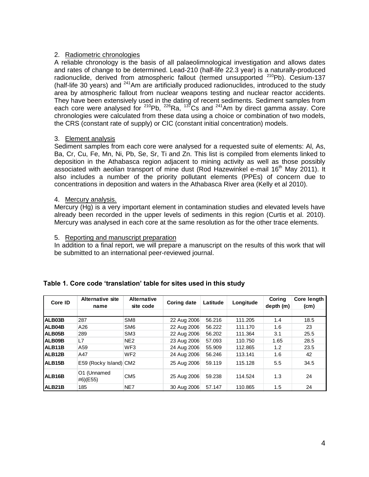## 2. Radiometric chronologies

A reliable chronology is the basis of all palaeolimnological investigation and allows dates and rates of change to be determined. Lead-210 (half-life 22.3 year) is a naturally-produced radionuclide, derived from atmospheric fallout (termed unsupported  $^{210}Pb$ ). Cesium-137 (half-life 30 years) and  $241$ Am are artificially produced radionuclides, introduced to the study area by atmospheric fallout from nuclear weapons testing and nuclear reactor accidents. They have been extensively used in the dating of recent sediments. Sediment samples from each core were analysed for  $210Pb$ ,  $226Ra$ ,  $137Cs$  and  $241Am$  by direct gamma assay. Core chronologies were calculated from these data using a choice or combination of two models, the CRS (constant rate of supply) or CIC (constant initial concentration) models.

## 3. Element analysis

Sediment samples from each core were analysed for a requested suite of elements: Al, As, Ba, Cr, Cu, Fe, Mn, Ni, Pb, Se, Sr, Ti and Zn. This list is compiled from elements linked to deposition in the Athabasca region adjacent to mining activity as well as those possibly associated with aeolian transport of mine dust (Rod Hazewinkel e-mail 16<sup>th</sup> May 2011). It also includes a number of the priority pollutant elements (PPEs) of concern due to concentrations in deposition and waters in the Athabasca River area (Kelly et al 2010).

#### 4. Mercury analysis.

Mercury (Hg) is a very important element in contamination studies and elevated levels have already been recorded in the upper levels of sediments in this region (Curtis et al. 2010). Mercury was analysed in each core at the same resolution as for the other trace elements.

#### 5. Reporting and manuscript preparation

In addition to a final report, we will prepare a manuscript on the results of this work that will be submitted to an international peer-reviewed journal.

| Core ID             | Alternative site<br>name | <b>Alternative</b><br>site code | <b>Coring date</b> | Latitude | Longitude | Coring<br>depth (m) | Core length<br>(cm) |
|---------------------|--------------------------|---------------------------------|--------------------|----------|-----------|---------------------|---------------------|
|                     |                          |                                 |                    |          |           |                     |                     |
| ALB03B              | 287                      | SM <sub>8</sub>                 | 22 Aug 2006        | 56.216   | 111.205   | 1.4                 | 18.5                |
| ALB04B              | A26                      | SM <sub>6</sub>                 | 22 Aug 2006        | 56.222   | 111.170   | 1.6                 | 23                  |
| ALB05B              | 289                      | SM <sub>3</sub>                 | 22 Aug 2006        | 56.202   | 111.364   | 3.1                 | 25.5                |
| ALB09B              | L7                       | NE <sub>2</sub>                 | 23 Aug 2006        | 57.093   | 110.750   | 1.65                | 28.5                |
| ALB11B              | A59                      | WF <sub>3</sub>                 | 24 Aug 2006        | 55,909   | 112.865   | 1.2                 | 23.5                |
| ALB12B              | A47                      | WF <sub>2</sub>                 | 24 Aug 2006        | 56.246   | 113.141   | 1.6                 | 42                  |
| ALB <sub>15</sub> B | E59 (Rocky Island) CM2   |                                 | 25 Aug 2006        | 59.119   | 115.128   | 5.5                 | 34.5                |
| ALB <sub>16</sub> B | O1 (Unnamed<br>#6)(E55)  | CM <sub>5</sub>                 | 25 Aug 2006        | 59.238   | 114.524   | 1.3                 | 24                  |
| ALB21B              | 185                      | NE7                             | 30 Aug 2006        | 57.147   | 110.865   | 1.5                 | 24                  |

# **Table 1. Core code 'translation' table for sites used in this study**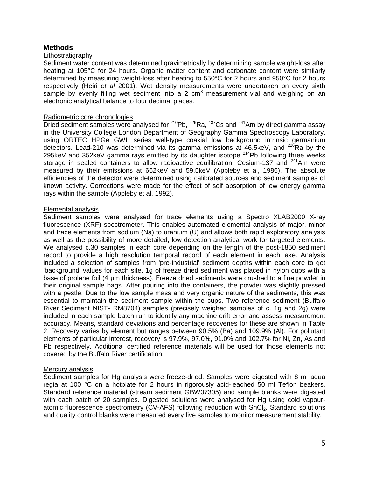## **Methods**

#### **Lithostratigraphy**

Sediment water content was determined gravimetrically by determining sample weight-loss after heating at 105°C for 24 hours. Organic matter content and carbonate content were similarly determined by measuring weight-loss after heating to 550°C for 2 hours and 950°C for 2 hours respectively (Heiri *et al* 2001). Wet density measurements were undertaken on every sixth sample by evenly filling wet sediment into a 2  $cm<sup>3</sup>$  measurement vial and weighing on an electronic analytical balance to four decimal places.

#### Radiometric core chronologies

Dried sediment samples were analysed for  $2^{10}Pb$ ,  $2^{26}Ra$ ,  $1^{37}Cs$  and  $2^{41}Am$  by direct gamma assay in the University College London Department of Geography Gamma Spectroscopy Laboratory, using ORTEC HPGe GWL series well-type coaxial low background intrinsic germanium detectors. Lead-210 was determined via its gamma emissions at 46.5keV, and  $^{226}$ Ra by the 295keV and 352keV gamma rays emitted by its daughter isotope  $^{214}$ Pb following three weeks storage in sealed containers to allow radioactive equilibration. Cesium-137 and  $241$ Am were measured by their emissions at 662keV and 59.5keV (Appleby et al, 1986). The absolute efficiencies of the detector were determined using calibrated sources and sediment samples of known activity. Corrections were made for the effect of self absorption of low energy gamma rays within the sample (Appleby et al, 1992).

#### Elemental analysis

Sediment samples were analysed for trace elements using a Spectro XLAB2000 X-ray fluorescence (XRF) spectrometer. This enables automated elemental analysis of major, minor and trace elements from sodium (Na) to uranium (U) and allows both rapid exploratory analysis as well as the possibility of more detailed, low detection analytical work for targeted elements. We analysed c.30 samples in each core depending on the length of the post-1850 sediment record to provide a high resolution temporal record of each element in each lake. Analysis included a selection of samples from 'pre-industrial' sediment depths within each core to get 'background' values for each site. 1g of freeze dried sediment was placed in nylon cups with a base of prolene foil (4 μm thickness). Freeze dried sediments were crushed to a fine powder in their original sample bags. After pouring into the containers, the powder was slightly pressed with a pestle. Due to the low sample mass and very organic nature of the sediments, this was essential to maintain the sediment sample within the cups. Two reference sediment (Buffalo River Sediment NIST- RM8704) samples (precisely weighed samples of c. 1g and 2g) were included in each sample batch run to identify any machine drift error and assess measurement accuracy. Means, standard deviations and percentage recoveries for these are shown in Table 2. Recovery varies by element but ranges between 90.5% (Ba) and 109.9% (Al). For pollutant elements of particular interest, recovery is 97.9%, 97.0%, 91.0% and 102.7% for Ni, Zn, As and Pb respectively. Additional certified reference materials will be used for those elements not covered by the Buffalo River certification.

#### Mercury analysis

Sediment samples for Hg analysis were freeze-dried. Samples were digested with 8 ml aqua regia at 100 °C on a hotplate for 2 hours in rigorously acid-leached 50 ml Teflon beakers. Standard reference material (stream sediment GBW07305) and sample blanks were digested with each batch of 20 samples. Digested solutions were analysed for Hg using cold vapouratomic fluorescence spectrometry (CV-AFS) following reduction with SnCl<sub>2</sub>. Standard solutions and quality control blanks were measured every five samples to monitor measurement stability.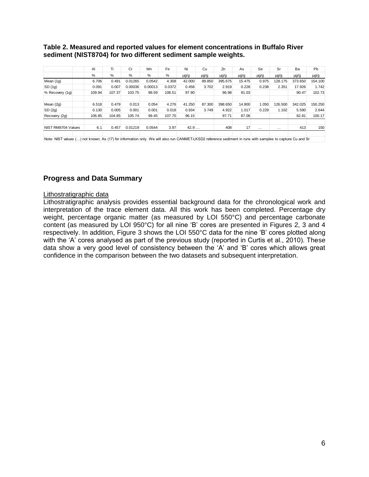# **Table 2. Measured and reported values for element concentrations in Buffalo River<br>
Sediment (NIST8704) for two different sediment sample weights.<br>
A limit of Mn Fe Ni Cu Zn As Se Sr Ba Pb<br>
<sup>A</sup> % % % % % pg/g pg/g pg/g pg/ sediment (NIST8704) for two different sediment sample weights.**

|                                                                                                                                                          | AI     | Tī     | Cr      | Mn      | Fe     | Ni        | Cu     | Zn        | As              | Se        | Sr        | Ba        | <b>Pb</b> |
|----------------------------------------------------------------------------------------------------------------------------------------------------------|--------|--------|---------|---------|--------|-----------|--------|-----------|-----------------|-----------|-----------|-----------|-----------|
|                                                                                                                                                          | $\%$   | $\%$   | $\%$    | $\%$    | %      | $\mu$ g/g | µg/g   | $\mu$ g/g | µg/g            | $\mu$ g/g | $\mu$ g/g | $\mu$ g/g | $\mu$ g/g |
| Mean (1g)                                                                                                                                                | 6.706  | 0.491  | 0.01265 | 0.0542  | 4.308  | 42.000    | 89.850 | 395.675   | 15.475          | 0.975     | 128.175   | 373.650   | 154.100   |
| SD(1q)                                                                                                                                                   | 0.091  | 0.007  | 0.00036 | 0.00013 | 0.0372 | 0.458     | 3.702  | 2.919     | 0.228           | 0.238     | 2.351     | 17.926    | 1.742     |
| % Recovery (1g)                                                                                                                                          | 109.94 | 107.37 | 103.75  | 99.59   | 108.51 | 97.90     |        | 96.98     | 91.03           |           |           | 90.47     | 102.73    |
| Mean (2g)                                                                                                                                                | 6.518  | 0.479  | 0.013   | 0.054   | 4.276  | 41.250    | 87.300 | 398.650   | 14.800          | 1.050     | 126.500   | 342.025   | 150.250   |
| SD(2g)                                                                                                                                                   | 0.130  | 0.005  | 0.001   | 0.001   | 0.018  | 0.934     | 3.749  | 4.922     | 1.017           | 0.229     | 1.102     | 5.590     | 2.644     |
| Recovery (2g)                                                                                                                                            | 106.85 | 104.85 | 105.74  | 99.45   | 107.70 | 96.15     |        | 97.71     | 87.06           |           |           | 82.81     | 100.17    |
| NIST RM8704 Values                                                                                                                                       | 6.1    | 0.457  | 0.01219 | 0.0544  | 3.97   | 42.9      |        | 408       | 17 <sub>1</sub> | $\cdots$  | .         | 413       | 150       |
| Note: NIST values () not known; As (17) for information only. We will also run CANMET-LKSD2 reference sediment in runs with samples to capture Cu and Sr |        |        |         |         |        |           |        |           |                 |           |           |           |           |

# **Progress and Data Summary**

#### Lithostratigraphic data

Lithostratigraphic analysis provides essential background data for the chronological work and interpretation of the trace element data. All this work has been completed. Percentage dry weight, percentage organic matter (as measured by LOI 550°C) and percentage carbonate content (as measured by LOI 950°C) for all nine 'B' cores are presented in Figures 2, 3 and 4 respectively. In addition, Figure 3 shows the LOI 550°C data for the nine 'B' cores plotted along with the 'A' cores analysed as part of the previous study (reported in Curtis et al., 2010). These data show a very good level of consistency between the 'A' and 'B' cores which allows great confidence in the comparison between the two datasets and subsequent interpretation.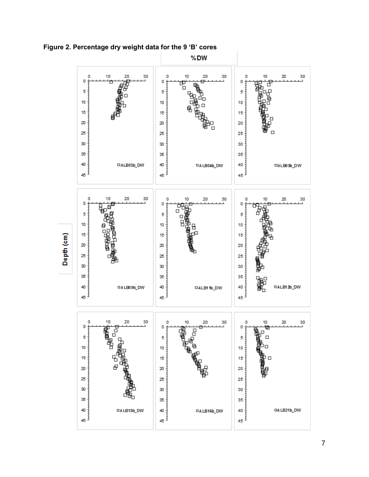

**Figure 2. Percentage dry weight data for the 9 'B' cores**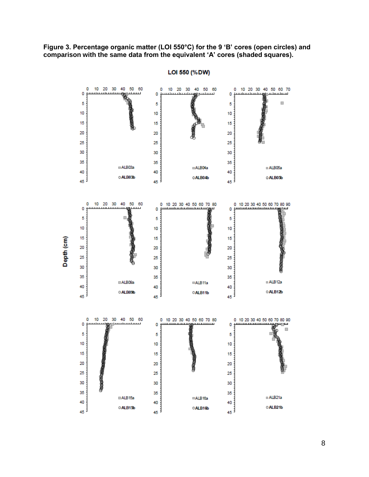**Figure 3. Percentage organic matter (LOI 550°C) for the 9 'B' cores (open circles) and comparison with the same data from the equivalent 'A' cores (shaded squares).**



LOI 550 (%DW)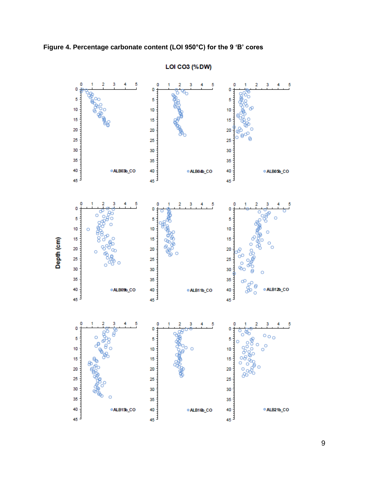



**LOI CO3 (%DW)**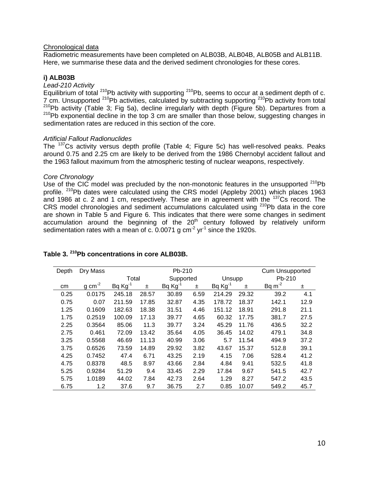#### Chronological data

Radiometric measurements have been completed on ALB03B, ALB04B, ALB05B and ALB11B. Here, we summarise these data and the derived sediment chronologies for these cores.

#### **i) ALB03B**

#### *Lead-210 Activity*

Equilibrium of total  $^{210}$ Pb activity with supporting  $^{210}$ Pb, seems to occur at a sediment depth of c. 7 cm. Unsupported <sup>210</sup>Pb activities, calculated by subtracting supporting <sup>210</sup>Pb activity from total <sup>210</sup>Pb activity (Table 3; Fig 5a), decline irregularly with depth (Figure 5b). Departures from a  $210$ Pb exponential decline in the top 3 cm are smaller than those below, suggesting changes in sedimentation rates are reduced in this section of the core.

#### *Artificial Fallout Radionuclides*

The <sup>137</sup>Cs activity versus depth profile (Table 4; Figure 5c) has well-resolved peaks. Peaks around 0.75 and 2.25 cm are likely to be derived from the 1986 Chernobyl accident fallout and the 1963 fallout maximum from the atmospheric testing of nuclear weapons, respectively.

#### *Core Chronology*

Use of the CIC model was precluded by the non-monotonic features in the unsupported  $^{210}Pb$ profile. <sup>210</sup>Pb dates were calculated using the CRS model (Appleby 2001) which places 1963 and 1986 at c. 2 and 1 cm, respectively. These are in agreement with the <sup>137</sup>Cs record. The CRS model chronologies and sediment accumulations calculated using <sup>210</sup>Pb data in the core are shown in Table 5 and Figure 6. This indicates that there were some changes in sediment accumulation around the beginning of the  $20<sup>th</sup>$  century followed by relatively uniform sedimentation rates with a mean of c. 0.0071 g  $cm<sup>2</sup>$  yr<sup>-1</sup> since the 1920s.

| Depth | Dry Mass            |              |       | Pb-210    |      |              |       | <b>Cum Unsupported</b> |      |
|-------|---------------------|--------------|-------|-----------|------|--------------|-------|------------------------|------|
|       |                     | Total        |       | Supported |      | Unsupp       |       | Pb-210                 |      |
| cm    | $g \text{ cm}^{-2}$ | $Bq Kg^{-1}$ | Ŧ     | Bq Kg     | ±.   | $Bq Kg^{-1}$ | 士     | $Bq m-2$               | ±.   |
| 0.25  | 0.0175              | 245.18       | 28.57 | 30.89     | 6.59 | 214.29       | 29.32 | 39.2                   | 4.1  |
| 0.75  | 0.07                | 211.59       | 17.85 | 32.87     | 4.35 | 178.72       | 18.37 | 142.1                  | 12.9 |
| 1.25  | 0.1609              | 182.63       | 18.38 | 31.51     | 4.46 | 151.12       | 18.91 | 291.8                  | 21.1 |
| 1.75  | 0.2519              | 100.09       | 17.13 | 39.77     | 4.65 | 60.32        | 17.75 | 381.7                  | 27.5 |
| 2.25  | 0.3564              | 85.06        | 11.3  | 39.77     | 3.24 | 45.29        | 11.76 | 436.5                  | 32.2 |
| 2.75  | 0.461               | 72.09        | 13.42 | 35.64     | 4.05 | 36.45        | 14.02 | 479.1                  | 34.8 |
| 3.25  | 0.5568              | 46.69        | 11.13 | 40.99     | 3.06 | 5.7          | 11.54 | 494.9                  | 37.2 |
| 3.75  | 0.6526              | 73.59        | 14.89 | 29.92     | 3.82 | 43.67        | 15.37 | 512.8                  | 39.1 |
| 4.25  | 0.7452              | 47.4         | 6.71  | 43.25     | 2.19 | 4.15         | 7.06  | 528.4                  | 41.2 |
| 4.75  | 0.8378              | 48.5         | 8.97  | 43.66     | 2.84 | 4.84         | 9.41  | 532.5                  | 41.8 |
| 5.25  | 0.9284              | 51.29        | 9.4   | 33.45     | 2.29 | 17.84        | 9.67  | 541.5                  | 42.7 |
| 5.75  | 1.0189              | 44.02        | 7.84  | 42.73     | 2.64 | 1.29         | 8.27  | 547.2                  | 43.5 |
| 6.75  | 1.2                 | 37.6         | 9.7   | 36.75     | 2.7  | 0.85         | 10.07 | 549.2                  | 45.7 |

# **Table 3. <sup>210</sup>Pb concentrations in core ALB03B.**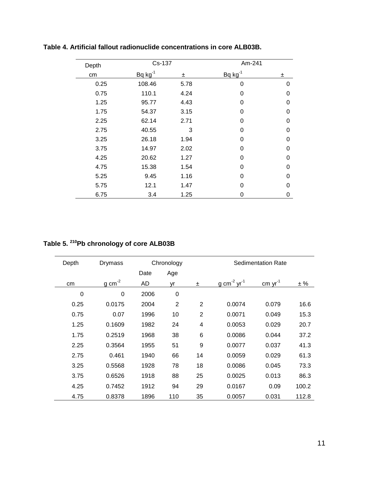| Depth | Cs-137       |      | Am-241       |          |  |
|-------|--------------|------|--------------|----------|--|
| cm    | $Bq kg^{-1}$ | 士    | $Bq kg^{-1}$ | ±        |  |
| 0.25  | 108.46       | 5.78 | 0            | 0        |  |
| 0.75  | 110.1        | 4.24 | 0            | $\Omega$ |  |
| 1.25  | 95.77        | 4.43 | 0            | 0        |  |
| 1.75  | 54.37        | 3.15 | 0            | $\Omega$ |  |
| 2.25  | 62.14        | 2.71 | 0            | 0        |  |
| 2.75  | 40.55        | 3    | 0            | $\Omega$ |  |
| 3.25  | 26.18        | 1.94 | 0            | $\Omega$ |  |
| 3.75  | 14.97        | 2.02 | 0            | 0        |  |
| 4.25  | 20.62        | 1.27 | 0            | 0        |  |
| 4.75  | 15.38        | 1.54 | 0            | 0        |  |
| 5.25  | 9.45         | 1.16 | 0            | O        |  |
| 5.75  | 12.1         | 1.47 | 0            | 0        |  |
| 6.75  | 3.4          | 1.25 | 0            | 0        |  |

**Table 4. Artificial fallout radionuclide concentrations in core ALB03B.**

#### **Table 5. <sup>210</sup>Pb chronology of core ALB03B**

| Depth       | Drymass             |      | Chronology     |                |                                     | <b>Sedimentation Rate</b>                      |       |
|-------------|---------------------|------|----------------|----------------|-------------------------------------|------------------------------------------------|-------|
|             |                     | Date | Age            |                |                                     |                                                |       |
| cm          | $g \text{ cm}^{-2}$ | AD   | ٧r             | 士              | g cm <sup>-2</sup> yr <sup>-1</sup> | $\frac{\text{cm}}{\text{cm}}$ yr <sup>-1</sup> | ± %   |
| $\mathbf 0$ | 0                   | 2006 | $\mathbf 0$    |                |                                     |                                                |       |
| 0.25        | 0.0175              | 2004 | $\overline{2}$ | $\overline{2}$ | 0.0074                              | 0.079                                          | 16.6  |
| 0.75        | 0.07                | 1996 | 10             | $\overline{2}$ | 0.0071                              | 0.049                                          | 15.3  |
| 1.25        | 0.1609              | 1982 | 24             | 4              | 0.0053                              | 0.029                                          | 20.7  |
| 1.75        | 0.2519              | 1968 | 38             | 6              | 0.0086                              | 0.044                                          | 37.2  |
| 2.25        | 0.3564              | 1955 | 51             | 9              | 0.0077                              | 0.037                                          | 41.3  |
| 2.75        | 0.461               | 1940 | 66             | 14             | 0.0059                              | 0.029                                          | 61.3  |
| 3.25        | 0.5568              | 1928 | 78             | 18             | 0.0086                              | 0.045                                          | 73.3  |
| 3.75        | 0.6526              | 1918 | 88             | 25             | 0.0025                              | 0.013                                          | 86.3  |
| 4.25        | 0.7452              | 1912 | 94             | 29             | 0.0167                              | 0.09                                           | 100.2 |
| 4.75        | 0.8378              | 1896 | 110            | 35             | 0.0057                              | 0.031                                          | 112.8 |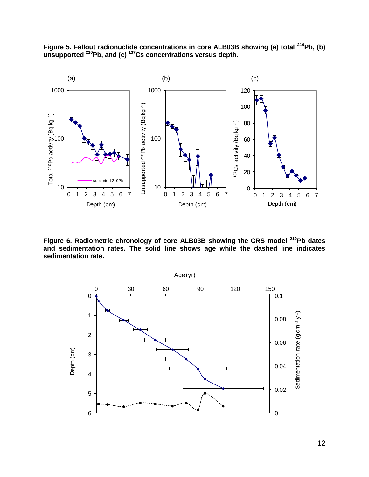



**Figure 6. Radiometric chronology of core ALB03B showing the CRS model <sup>210</sup>Pb dates and sedimentation rates. The solid line shows age while the dashed line indicates sedimentation rate.**

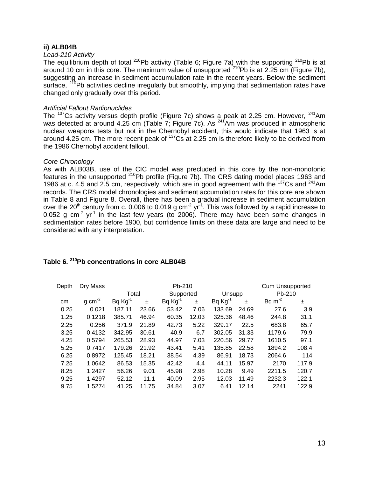#### **ii) ALB04B**

#### *Lead-210 Activity*

The equilibrium depth of total  $^{210}$ Pb activity (Table 6; Figure 7a) with the supporting  $^{210}$ Pb is at around 10 cm in this core. The maximum value of unsupported  $210Pb$  is at 2.25 cm (Figure 7b), suggesting an increase in sediment accumulation rate in the recent years. Below the sediment surface,  $210Pb$  activities decline irregularly but smoothly, implying that sedimentation rates have changed only gradually over this period.

#### *Artificial Fallout Radionuclides*

The  $^{137}$ Cs activity versus depth profile (Figure 7c) shows a peak at 2.25 cm. However,  $^{241}$ Am was detected at around 4.25 cm (Table 7; Figure 7c). As  $^{241}$ Am was produced in atmospheric nuclear weapons tests but not in the Chernobyl accident, this would indicate that 1963 is at around 4.25 cm. The more recent peak of <sup>137</sup>Cs at 2.25 cm is therefore likely to be derived from the 1986 Chernobyl accident fallout.

#### *Core Chronology*

As with ALB03B, use of the CIC model was precluded in this core by the non-monotonic features in the unsupported <sup>210</sup>Pb profile (Figure 7b). The CRS dating model places 1963 and 1986 at c. 4.5 and 2.5 cm, respectively, which are in good agreement with the  $137Cs$  and  $241Am$ records. The CRS model chronologies and sediment accumulation rates for this core are shown in Table 8 and Figure 8. Overall, there has been a gradual increase in sediment accumulation over the 20<sup>th</sup> century from c. 0.006 to 0.019 g cm<sup>-2</sup> yr<sup>-1</sup>. This was followed by a rapid increase to 0.052 g cm<sup>-2</sup> yr<sup>-1</sup> in the last few years (to 2006). There may have been some changes in sedimentation rates before 1900, but confidence limits on these data are large and need to be considered with any interpretation.

| Depth | Dry Mass            |              | Pb-210 |           |       |              |       |             | Cum Unsupported |  |
|-------|---------------------|--------------|--------|-----------|-------|--------------|-------|-------------|-----------------|--|
|       |                     | Total        |        | Supported |       | Unsupp       |       |             | Pb-210          |  |
| cm    | $g \text{ cm}^{-2}$ | $Bq Kg^{-1}$ | 士      | Bq Kg     | ±.    | $Bq Kg^{-1}$ | ±     | Bq $m^{-2}$ | ±               |  |
| 0.25  | 0.021               | 187.11       | 23.66  | 53.42     | 7.06  | 133.69       | 24.69 | 27.6        | 3.9             |  |
| 1.25  | 0.1218              | 385.71       | 46.94  | 60.35     | 12.03 | 325.36       | 48.46 | 244.8       | 31.1            |  |
| 2.25  | 0.256               | 371.9        | 21.89  | 42.73     | 5.22  | 329.17       | 22.5  | 683.8       | 65.7            |  |
| 3.25  | 0.4132              | 342.95       | 30.61  | 40.9      | 6.7   | 302.05       | 31.33 | 1179.6      | 79.9            |  |
| 4.25  | 0.5794              | 265.53       | 28.93  | 44.97     | 7.03  | 220.56       | 29.77 | 1610.5      | 97.1            |  |
| 5.25  | 0.7417              | 179.26       | 21.92  | 43.41     | 5.41  | 135.85       | 22.58 | 1894.2      | 108.4           |  |
| 6.25  | 0.8972              | 125.45       | 18.21  | 38.54     | 4.39  | 86.91        | 18.73 | 2064.6      | 114             |  |
| 7.25  | 1.0642              | 86.53        | 15.35  | 42.42     | 4.4   | 44.11        | 15.97 | 2170        | 117.9           |  |
| 8.25  | 1.2427              | 56.26        | 9.01   | 45.98     | 2.98  | 10.28        | 9.49  | 2211.5      | 120.7           |  |
| 9.25  | 1.4297              | 52.12        | 11.1   | 40.09     | 2.95  | 12.03        | 11.49 | 2232.3      | 122.1           |  |
| 9.75  | 1.5274              | 41.25        | 11.75  | 34.84     | 3.07  | 6.41         | 12.14 | 2241        | 122.9           |  |

# **Table 6. <sup>210</sup>Pb concentrations in core ALB04B**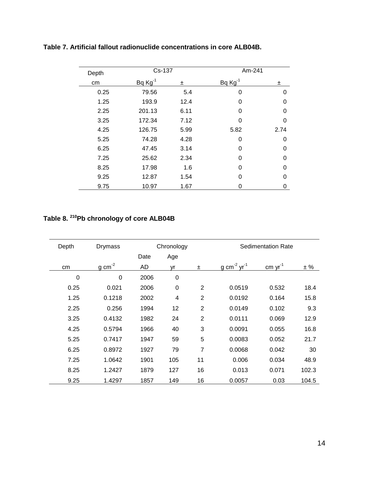| Depth | Cs-137      |      | Am-241      |          |
|-------|-------------|------|-------------|----------|
| cm    | $BqKg^{-1}$ | ±.   | $BqKg^{-1}$ | ±        |
| 0.25  | 79.56       | 5.4  | 0           | 0        |
| 1.25  | 193.9       | 12.4 | 0           | 0        |
| 2.25  | 201.13      | 6.11 | 0           | 0        |
| 3.25  | 172.34      | 7.12 | 0           | 0        |
| 4.25  | 126.75      | 5.99 | 5.82        | 2.74     |
| 5.25  | 74.28       | 4.28 | 0           | 0        |
| 6.25  | 47.45       | 3.14 | 0           | 0        |
| 7.25  | 25.62       | 2.34 | 0           | 0        |
| 8.25  | 17.98       | 1.6  | 0           | $\Omega$ |
| 9.25  | 12.87       | 1.54 | 0           | 0        |
| 9.75  | 10.97       | 1.67 | 0           | 0        |

# **Table 7. Artificial fallout radionuclide concentrations in core ALB04B.**

#### **Table 8. <sup>210</sup>Pb chronology of core ALB04B**

| Depth | Drymass              | Chronology |             |                |                                     | <b>Sedimentation Rate</b> |       |  |
|-------|----------------------|------------|-------------|----------------|-------------------------------------|---------------------------|-------|--|
|       |                      | Date       | Age         |                |                                     |                           |       |  |
| cm    | $g$ cm <sup>-2</sup> | AD         | yr          | $\pm$          | g cm <sup>-2</sup> yr <sup>-1</sup> | cm $yr^{-1}$              | ± %   |  |
| 0     | $\mathbf 0$          | 2006       | $\mathbf 0$ |                |                                     |                           |       |  |
| 0.25  | 0.021                | 2006       | $\mathbf 0$ | $\overline{2}$ | 0.0519                              | 0.532                     | 18.4  |  |
| 1.25  | 0.1218               | 2002       | 4           | $\overline{2}$ | 0.0192                              | 0.164                     | 15.8  |  |
| 2.25  | 0.256                | 1994       | 12          | $\overline{2}$ | 0.0149                              | 0.102                     | 9.3   |  |
| 3.25  | 0.4132               | 1982       | 24          | $\overline{2}$ | 0.0111                              | 0.069                     | 12.9  |  |
| 4.25  | 0.5794               | 1966       | 40          | 3              | 0.0091                              | 0.055                     | 16.8  |  |
| 5.25  | 0.7417               | 1947       | 59          | 5              | 0.0083                              | 0.052                     | 21.7  |  |
| 6.25  | 0.8972               | 1927       | 79          | $\overline{7}$ | 0.0068                              | 0.042                     | 30    |  |
| 7.25  | 1.0642               | 1901       | 105         | 11             | 0.006                               | 0.034                     | 48.9  |  |
| 8.25  | 1.2427               | 1879       | 127         | 16             | 0.013                               | 0.071                     | 102.3 |  |
| 9.25  | 1.4297               | 1857       | 149         | 16             | 0.0057                              | 0.03                      | 104.5 |  |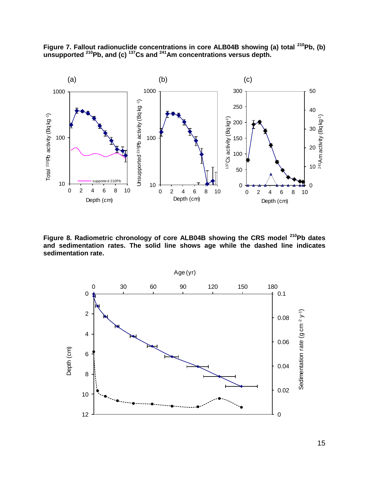

**Figure 7. Fallout radionuclide concentrations in core ALB04B showing (a) total <sup>210</sup>Pb, (b) unsupported <sup>210</sup>Pb, and (c) <sup>137</sup>Cs and <sup>241</sup>Am concentrations versus depth.**

**Figure 8. Radiometric chronology of core ALB04B showing the CRS model <sup>210</sup>Pb dates and sedimentation rates. The solid line shows age while the dashed line indicates sedimentation rate.**

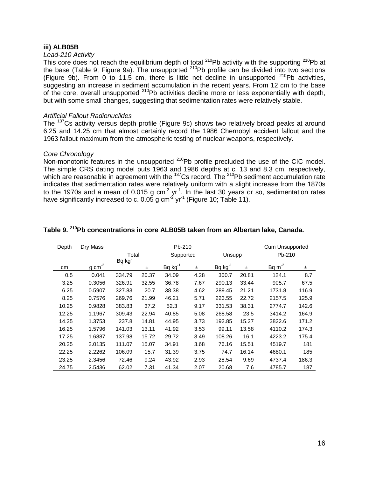#### **iii) ALB05B**

#### *Lead-210 Activity*

This core does not reach the equilibrium depth of total  $^{210}$ Pb activity with the supporting  $^{210}$ Pb at the base (Table 9; Figure 9a). The unsupported <sup>210</sup>Pb profile can be divided into two sections (Figure 9b). From 0 to 11.5 cm, there is little net decline in unsupported  $210Pb$  activities, suggesting an increase in sediment accumulation in the recent years. From 12 cm to the base of the core, overall unsupported <sup>210</sup>Pb activities decline more or less exponentially with depth, but with some small changes, suggesting that sedimentation rates were relatively stable.

#### *Artificial Fallout Radionuclides*

The <sup>137</sup>Cs activity versus depth profile (Figure 9c) shows two relatively broad peaks at around 6.25 and 14.25 cm that almost certainly record the 1986 Chernobyl accident fallout and the 1963 fallout maximum from the atmospheric testing of nuclear weapons, respectively.

#### *Core Chronology*

Non-monotonic features in the unsupported <sup>210</sup>Pb profile precluded the use of the CIC model. The simple CRS dating model puts 1963 and 1986 depths at c. 13 and 8.3 cm, respectively, which are reasonable in agreement with the  $^{137}$ Cs record. The  $^{210}$ Pb sediment accumulation rate indicates that sedimentation rates were relatively uniform with a slight increase from the 1870s to the 1970s and a mean of 0.015 g cm<sup>-2</sup> yr<sup>-1</sup>. In the last 30 years or so, sedimentation rates have significantly increased to c. 0.05 g cm<sup>-2</sup> yr<sup>-1</sup> (Figure 10; Table 11).

| Depth | Dry Mass            |        |       | Pb-210       |      |              |       | Cum Unsupported |       |
|-------|---------------------|--------|-------|--------------|------|--------------|-------|-----------------|-------|
|       |                     | Total  |       | Supported    |      | Unsupp       |       | Pb-210          |       |
|       |                     | Bg kg  |       |              |      |              |       |                 |       |
| cm    | $g \text{ cm}^{-2}$ |        | Ŧ     | $Bq kg^{-1}$ | ±    | $Bq kg^{-1}$ | Ŧ     | Bq $m^{-2}$     | ±     |
| 0.5   | 0.041               | 334.79 | 20.37 | 34.09        | 4.28 | 300.7        | 20.81 | 124.1           | 8.7   |
| 3.25  | 0.3056              | 326.91 | 32.55 | 36.78        | 7.67 | 290.13       | 33.44 | 905.7           | 67.5  |
| 6.25  | 0.5907              | 327.83 | 20.7  | 38.38        | 4.62 | 289.45       | 21.21 | 1731.8          | 116.9 |
| 8.25  | 0.7576              | 269.76 | 21.99 | 46.21        | 5.71 | 223.55       | 22.72 | 2157.5          | 125.9 |
| 10.25 | 0.9828              | 383.83 | 37.2  | 52.3         | 9.17 | 331.53       | 38.31 | 2774.7          | 142.6 |
| 12.25 | 1.1967              | 309.43 | 22.94 | 40.85        | 5.08 | 268.58       | 23.5  | 3414.2          | 164.9 |
| 14.25 | 1.3753              | 237.8  | 14.81 | 44.95        | 3.73 | 192.85       | 15.27 | 3822.6          | 171.2 |
| 16.25 | 1.5796              | 141.03 | 13.11 | 41.92        | 3.53 | 99.11        | 13.58 | 4110.2          | 174.3 |
| 17.25 | 1.6887              | 137.98 | 15.72 | 29.72        | 3.49 | 108.26       | 16.1  | 4223.2          | 175.4 |
| 20.25 | 2.0135              | 111.07 | 15.07 | 34.91        | 3.68 | 76.16        | 15.51 | 4519.7          | 181   |
| 22.25 | 2.2262              | 106.09 | 15.7  | 31.39        | 3.75 | 74.7         | 16.14 | 4680.1          | 185   |
| 23.25 | 2.3456              | 72.46  | 9.24  | 43.92        | 2.93 | 28.54        | 9.69  | 4737.4          | 186.3 |
| 24.75 | 2.5436              | 62.02  | 7.31  | 41.34        | 2.07 | 20.68        | 7.6   | 4785.7          | 187   |

#### **Table 9. <sup>210</sup>Pb concentrations in core ALB05B taken from an Albertan lake, Canada.**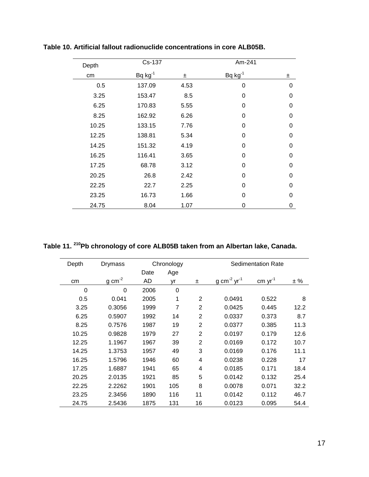| Depth | Cs-137       |      | Am-241       |   |
|-------|--------------|------|--------------|---|
| cm    | $Bq kg^{-1}$ | ±    | $Bq kg^{-1}$ | 士 |
| 0.5   | 137.09       | 4.53 | 0            | 0 |
| 3.25  | 153.47       | 8.5  | $\Omega$     | 0 |
| 6.25  | 170.83       | 5.55 | 0            | 0 |
| 8.25  | 162.92       | 6.26 | 0            | 0 |
| 10.25 | 133.15       | 7.76 | 0            | 0 |
| 12.25 | 138.81       | 5.34 | $\Omega$     | 0 |
| 14.25 | 151.32       | 4.19 | 0            | 0 |
| 16.25 | 116.41       | 3.65 | 0            | 0 |
| 17.25 | 68.78        | 3.12 | 0            | 0 |
| 20.25 | 26.8         | 2.42 | $\mathbf 0$  | 0 |
| 22.25 | 22.7         | 2.25 | $\mathbf 0$  | 0 |
| 23.25 | 16.73        | 1.66 | 0            | 0 |
| 24.75 | 8.04         | 1.07 | 0            | 0 |

**Table 10. Artificial fallout radionuclide concentrations in core ALB05B.**

**Table 11. <sup>210</sup>Pb chronology of core ALB05B taken from an Albertan lake, Canada.**

| Depth | Drymass             | Chronology |     |                |                                     | <b>Sedimentation Rate</b> |      |
|-------|---------------------|------------|-----|----------------|-------------------------------------|---------------------------|------|
|       |                     | Date       | Age |                |                                     |                           |      |
| cm    | $g \text{ cm}^{-2}$ | AD         | yr  | 士              | g cm <sup>-2</sup> yr <sup>-1</sup> | $cm \text{ yr}^{-1}$      | ± %  |
| 0     | $\Omega$            | 2006       | 0   |                |                                     |                           |      |
| 0.5   | 0.041               | 2005       | 1   | 2              | 0.0491                              | 0.522                     | 8    |
| 3.25  | 0.3056              | 1999       | 7   | $\overline{2}$ | 0.0425                              | 0.445                     | 12.2 |
| 6.25  | 0.5907              | 1992       | 14  | $\overline{2}$ | 0.0337                              | 0.373                     | 8.7  |
| 8.25  | 0.7576              | 1987       | 19  | 2              | 0.0377                              | 0.385                     | 11.3 |
| 10.25 | 0.9828              | 1979       | 27  | $\overline{2}$ | 0.0197                              | 0.179                     | 12.6 |
| 12.25 | 1.1967              | 1967       | 39  | $\overline{2}$ | 0.0169                              | 0.172                     | 10.7 |
| 14.25 | 1.3753              | 1957       | 49  | 3              | 0.0169                              | 0.176                     | 11.1 |
| 16.25 | 1.5796              | 1946       | 60  | 4              | 0.0238                              | 0.228                     | 17   |
| 17.25 | 1.6887              | 1941       | 65  | 4              | 0.0185                              | 0.171                     | 18.4 |
| 20.25 | 2.0135              | 1921       | 85  | 5              | 0.0142                              | 0.132                     | 25.4 |
| 22.25 | 2.2262              | 1901       | 105 | 8              | 0.0078                              | 0.071                     | 32.2 |
| 23.25 | 2.3456              | 1890       | 116 | 11             | 0.0142                              | 0.112                     | 46.7 |
| 24.75 | 2.5436              | 1875       | 131 | 16             | 0.0123                              | 0.095                     | 54.4 |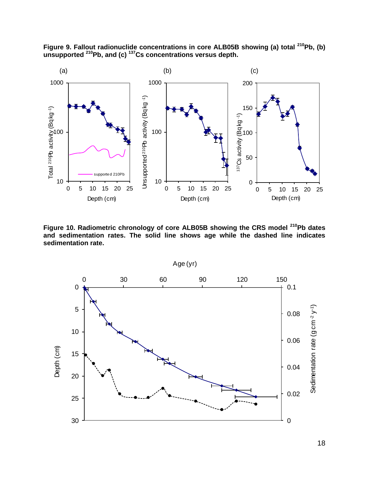

**Figure 9. Fallout radionuclide concentrations in core ALB05B showing (a) total <sup>210</sup>Pb, (b) unsupported <sup>210</sup>Pb, and (c) <sup>137</sup>Cs concentrations versus depth.**

**Figure 10. Radiometric chronology of core ALB05B showing the CRS model <sup>210</sup>Pb dates and sedimentation rates. The solid line shows age while the dashed line indicates sedimentation rate.**

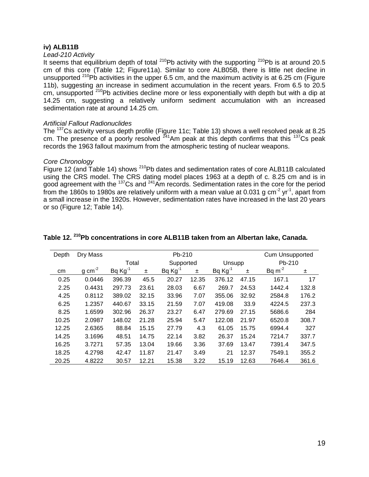#### **iv) ALB11B**

#### *Lead-210 Activity*

It seems that equilibrium depth of total  $^{210}Pb$  activity with the supporting  $^{210}Pb$  is at around 20.5 cm of this core (Table 12; Figure11a). Similar to core ALB05B, there is little net decline in unsupported <sup>210</sup>Pb activities in the upper 6.5 cm, and the maximum activity is at 6.25 cm (Figure 11b), suggesting an increase in sediment accumulation in the recent years. From 6.5 to 20.5 cm, unsupported <sup>210</sup>Pb activities decline more or less exponentially with depth but with a dip at 14.25 cm, suggesting a relatively uniform sediment accumulation with an increased sedimentation rate at around 14.25 cm.

#### *Artificial Fallout Radionuclides*

The <sup>137</sup>Cs activity versus depth profile (Figure 11c; Table 13) shows a well resolved peak at 8.25 cm. The presence of a poorly resolved <sup>241</sup>Am peak at this depth confirms that this <sup>137</sup>Cs peak records the 1963 fallout maximum from the atmospheric testing of nuclear weapons.

#### *Core Chronology*

Figure 12 (and Table 14) shows <sup>210</sup>Pb dates and sedimentation rates of core ALB11B calculated using the CRS model. The CRS dating model places 1963 at a depth of c. 8.25 cm and is in good agreement with the <sup>137</sup>Cs and <sup>241</sup>Am records. Sedimentation rates in the core for the period from the 1860s to 1980s are relatively uniform with a mean value at 0.031 g cm<sup>-2</sup> yr<sup>-1</sup>, apart from a small increase in the 1920s. However, sedimentation rates have increased in the last 20 years or so (Figure 12; Table 14).

| Depth | Dry Mass       | Pb-210       |       |           |       |              | Cum Unsupported |             |       |
|-------|----------------|--------------|-------|-----------|-------|--------------|-----------------|-------------|-------|
|       |                | Total        |       | Supported |       | Unsupp       |                 | Pb-210      |       |
| cm    | $g$ cm $^{-2}$ | $Bq Kg^{-1}$ | Ŧ     | Bq Kg     | Ŧ     | $Bq Kg^{-1}$ | 士               | Bq $m^{-2}$ | ±     |
| 0.25  | 0.0446         | 396.39       | 45.5  | 20.27     | 12.35 | 376.12       | 47.15           | 167.1       | 17    |
| 2.25  | 0.4431         | 297.73       | 23.61 | 28.03     | 6.67  | 269.7        | 24.53           | 1442.4      | 132.8 |
| 4.25  | 0.8112         | 389.02       | 32.15 | 33.96     | 7.07  | 355.06       | 32.92           | 2584.8      | 176.2 |
| 6.25  | 1.2357         | 440.67       | 33.15 | 21.59     | 7.07  | 419.08       | 33.9            | 4224.5      | 237.3 |
| 8.25  | 1.6599         | 302.96       | 26.37 | 23.27     | 6.47  | 279.69       | 27.15           | 5686.6      | 284   |
| 10.25 | 2.0987         | 148.02       | 21.28 | 25.94     | 5.47  | 122.08       | 21.97           | 6520.8      | 308.7 |
| 12.25 | 2.6365         | 88.84        | 15.15 | 27.79     | 4.3   | 61.05        | 15.75           | 6994.4      | 327   |
| 14.25 | 3.1696         | 48.51        | 14.75 | 22.14     | 3.82  | 26.37        | 15.24           | 7214.7      | 337.7 |
| 16.25 | 3.7271         | 57.35        | 13.04 | 19.66     | 3.36  | 37.69        | 13.47           | 7391.4      | 347.5 |
| 18.25 | 4.2798         | 42.47        | 11.87 | 21.47     | 3.49  | 21           | 12.37           | 7549.1      | 355.2 |
| 20.25 | 4.8222         | 30.57        | 12.21 | 15.38     | 3.22  | 15.19        | 12.63           | 7646.4      | 361.6 |

#### **Table 12. <sup>210</sup>Pb concentrations in core ALB11B taken from an Albertan lake, Canada.**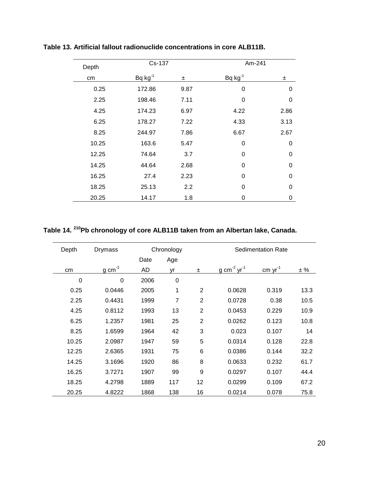| Depth | Cs-137       |      | Am-241       |             |
|-------|--------------|------|--------------|-------------|
| cm    | $Bq kg^{-1}$ | 土    | $Bq kg^{-1}$ | 士           |
| 0.25  | 172.86       | 9.87 | 0            | 0           |
| 2.25  | 198.46       | 7.11 | 0            | 0           |
| 4.25  | 174.23       | 6.97 | 4.22         | 2.86        |
| 6.25  | 178.27       | 7.22 | 4.33         | 3.13        |
| 8.25  | 244.97       | 7.86 | 6.67         | 2.67        |
| 10.25 | 163.6        | 5.47 | 0            | 0           |
| 12.25 | 74.64        | 3.7  | 0            | 0           |
| 14.25 | 44.64        | 2.68 | 0            | 0           |
| 16.25 | 27.4         | 2.23 | $\Omega$     | $\mathbf 0$ |
| 18.25 | 25.13        | 2.2  | 0            | 0           |
| 20.25 | 14.17        | 1.8  | 0            | 0           |

**Table 13. Artificial fallout radionuclide concentrations in core ALB11B.**

#### **Table 14. <sup>210</sup>Pb chronology of core ALB11B taken from an Albertan lake, Canada.**

| Depth<br><b>Drymass</b> |                     | Chronology |                |                | <b>Sedimentation Rate</b>           |                 |      |  |
|-------------------------|---------------------|------------|----------------|----------------|-------------------------------------|-----------------|------|--|
|                         |                     | Date       | Age            |                |                                     |                 |      |  |
| cm                      | $g \text{ cm}^{-2}$ | AD         | yr             | $\pm$          | g cm <sup>-2</sup> yr <sup>-1</sup> | $cm \, yr^{-1}$ | ± %  |  |
| 0                       | 0                   | 2006       | 0              |                |                                     |                 |      |  |
| 0.25                    | 0.0446              | 2005       | 1              | $\overline{2}$ | 0.0628                              | 0.319           | 13.3 |  |
| 2.25                    | 0.4431              | 1999       | $\overline{7}$ | $\overline{2}$ | 0.0728                              | 0.38            | 10.5 |  |
| 4.25                    | 0.8112              | 1993       | 13             | $\overline{2}$ | 0.0453                              | 0.229           | 10.9 |  |
| 6.25                    | 1.2357              | 1981       | 25             | $\overline{2}$ | 0.0262                              | 0.123           | 10.8 |  |
| 8.25                    | 1.6599              | 1964       | 42             | 3              | 0.023                               | 0.107           | 14   |  |
| 10.25                   | 2.0987              | 1947       | 59             | 5              | 0.0314                              | 0.128           | 22.8 |  |
| 12.25                   | 2.6365              | 1931       | 75             | 6              | 0.0386                              | 0.144           | 32.2 |  |
| 14.25                   | 3.1696              | 1920       | 86             | 8              | 0.0633                              | 0.232           | 61.7 |  |
| 16.25                   | 3.7271              | 1907       | 99             | 9              | 0.0297                              | 0.107           | 44.4 |  |
| 18.25                   | 4.2798              | 1889       | 117            | 12             | 0.0299                              | 0.109           | 67.2 |  |
| 20.25                   | 4.8222              | 1868       | 138            | 16             | 0.0214                              | 0.078           | 75.8 |  |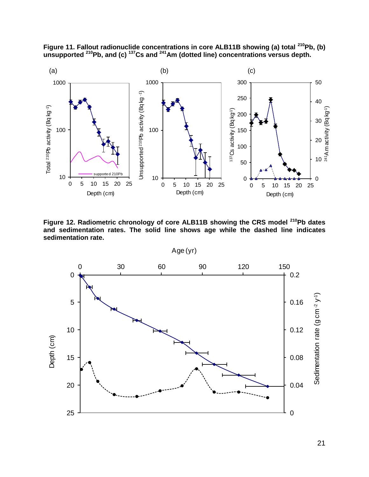

**Figure 11. Fallout radionuclide concentrations in core ALB11B showing (a) total <sup>210</sup>Pb, (b) unsupported <sup>210</sup>Pb, and (c) <sup>137</sup>Cs and <sup>241</sup>Am (dotted line) concentrations versus depth.**

**Figure 12. Radiometric chronology of core ALB11B showing the CRS model <sup>210</sup>Pb dates and sedimentation rates. The solid line shows age while the dashed line indicates sedimentation rate.**

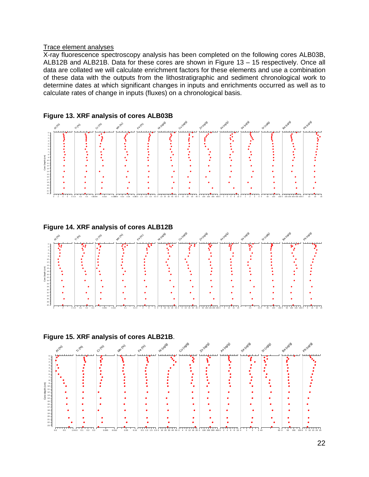#### Trace element analyses

X-ray fluorescence spectroscopy analysis has been completed on the following cores ALB03B, ALB12B and ALB21B. Data for these cores are shown in Figure 13 – 15 respectively. Once all data are collated we will calculate enrichment factors for these elements and use a combination of these data with the outputs from the lithostratigraphic and sediment chronological work to determine dates at which significant changes in inputs and enrichments occurred as well as to calculate rates of change in inputs (fluxes) on a chronological basis.









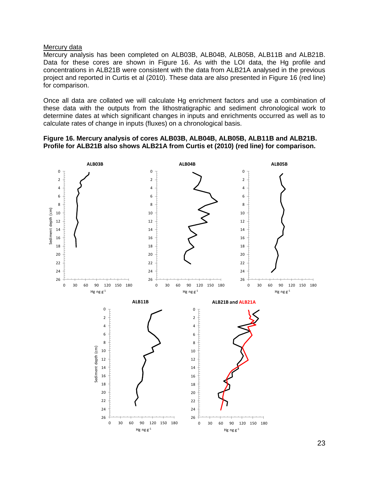#### Mercury data

Mercury analysis has been completed on ALB03B, ALB04B, ALB05B, ALB11B and ALB21B. Data for these cores are shown in Figure 16. As with the LOI data, the Hg profile and concentrations in ALB21B were consistent with the data from ALB21A analysed in the previous project and reported in Curtis et al (2010). These data are also presented in Figure 16 (red line) for comparison.

Once all data are collated we will calculate Hg enrichment factors and use a combination of these data with the outputs from the lithostratigraphic and sediment chronological work to determine dates at which significant changes in inputs and enrichments occurred as well as to calculate rates of change in inputs (fluxes) on a chronological basis.

#### **Figure 16. Mercury analysis of cores ALB03B, ALB04B, ALB05B, ALB11B and ALB21B. Profile for ALB21B also shows ALB21A from Curtis et (2010) (red line) for comparison.**